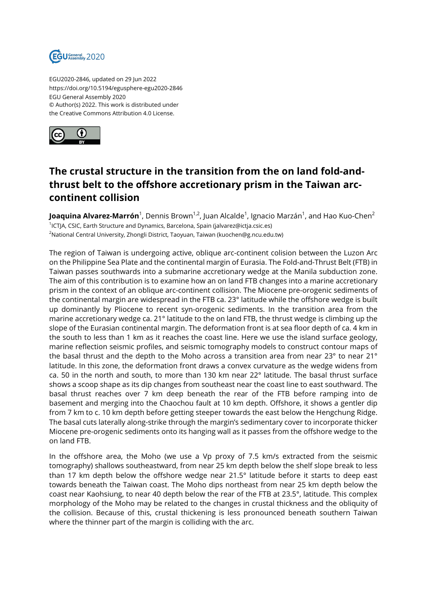

EGU2020-2846, updated on 29 Jun 2022 https://doi.org/10.5194/egusphere-egu2020-2846 EGU General Assembly 2020 © Author(s) 2022. This work is distributed under the Creative Commons Attribution 4.0 License.



## **The crustal structure in the transition from the on land fold-andthrust belt to the offshore accretionary prism in the Taiwan arccontinent collision**

**Joaquina Alvarez-Marrón**<sup>1</sup>, Dennis Brown<sup>1,2</sup>, Juan Alcalde<sup>1</sup>, Ignacio Marzán<sup>1</sup>, and Hao Kuo-Chen<sup>2</sup> 1 ICTJA, CSIC, Earth Structure and Dynamics, Barcelona, Spain (jalvarez@ictja.csic.es) <sup>2</sup>National Central University, Zhongli District, Taoyuan, Taiwan (kuochen@g.ncu.edu.tw)

The region of Taiwan is undergoing active, oblique arc-continent colision between the Luzon Arc on the Philippine Sea Plate and the continental margin of Eurasia. The Fold-and-Thrust Belt (FTB) in Taiwan passes southwards into a submarine accretionary wedge at the Manila subduction zone. The aim of this contribution is to examine how an on land FTB changes into a marine accretionary prism in the context of an oblique arc-continent collision. The Miocene pre-orogenic sediments of the continental margin are widespread in the FTB ca. 23° latitude while the offshore wedge is built up dominantly by Pliocene to recent syn-orogenic sediments. In the transition area from the marine accretionary wedge ca. 21° latitude to the on land FTB, the thrust wedge is climbing up the slope of the Eurasian continental margin. The deformation front is at sea floor depth of ca. 4 km in the south to less than 1 km as it reaches the coast line. Here we use the island surface geology, marine reflection seismic profiles, and seismic tomography models to construct contour maps of the basal thrust and the depth to the Moho across a transition area from near 23° to near 21° latitude. In this zone, the deformation front draws a convex curvature as the wedge widens from ca. 50 in the north and south, to more than 130 km near 22° latitude. The basal thrust surface shows a scoop shape as its dip changes from southeast near the coast line to east southward. The basal thrust reaches over 7 km deep beneath the rear of the FTB before ramping into de basement and merging into the Chaochou fault at 10 km depth. Offshore, it shows a gentler dip from 7 km to c. 10 km depth before getting steeper towards the east below the Hengchung Ridge. The basal cuts laterally along-strike through the margin's sedimentary cover to incorporate thicker Miocene pre-orogenic sediments onto its hanging wall as it passes from the offshore wedge to the on land FTB.

In the offshore area, the Moho (we use a Vp proxy of 7.5 km/s extracted from the seismic tomography) shallows southeastward, from near 25 km depth below the shelf slope break to less than 17 km depth below the offshore wedge near 21.5° latitude before it starts to deep east towards beneath the Taiwan coast. The Moho dips northeast from near 25 km depth below the coast near Kaohsiung, to near 40 depth below the rear of the FTB at 23.5°, latitude. This complex morphology of the Moho may be related to the changes in crustal thickness and the obliquity of the collision. Because of this, crustal thickening is less pronounced beneath southern Taiwan where the thinner part of the margin is colliding with the arc.